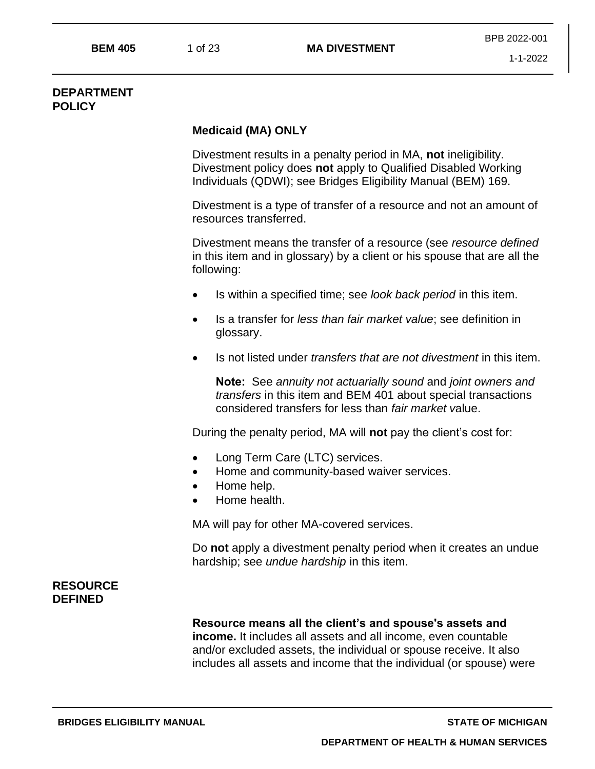#### **DEPARTMENT POLICY**

#### **Medicaid (MA) ONLY**

Divestment results in a penalty period in MA, **not** ineligibility. Divestment policy does **not** apply to Qualified Disabled Working Individuals (QDWI); see Bridges Eligibility Manual (BEM) 169.

Divestment is a type of transfer of a resource and not an amount of resources transferred.

Divestment means the transfer of a resource (see *resource defined* in this item and in glossary) by a client or his spouse that are all the following:

- Is within a specified time; see *look back period* in this item.
- Is a transfer for *less than fair market value*; see definition in glossary.
- Is not listed under *transfers that are not divestment* in this item.

**Note:** See *annuity not actuarially sound* and *joint owners and transfers* in this item and BEM 401 about special transactions considered transfers for less than *fair market v*alue.

During the penalty period, MA will **not** pay the client's cost for:

- Long Term Care (LTC) services.
- Home and community-based waiver services.
- Home help.
- Home health.

MA will pay for other MA-covered services.

Do **not** apply a divestment penalty period when it creates an undue hardship; see *undue hardship* in this item.

## **RESOURCE DEFINED**

**Resource means all the client's and spouse's assets and income.** It includes all assets and all income, even countable and/or excluded assets, the individual or spouse receive. It also includes all assets and income that the individual (or spouse) were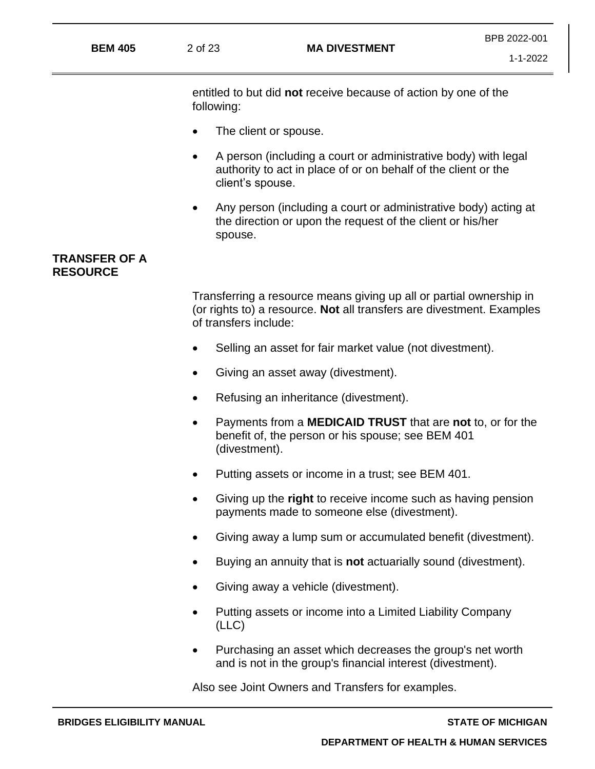|                |         |                      | BPB 2022-001 |
|----------------|---------|----------------------|--------------|
| <b>BEM 405</b> | 2 of 23 | <b>MA DIVESTMENT</b> | 1-1-2022     |

entitled to but did **not** receive because of action by one of the following:

- The client or spouse.
- A person (including a court or administrative body) with legal authority to act in place of or on behalf of the client or the client's spouse.
- Any person (including a court or administrative body) acting at the direction or upon the request of the client or his/her spouse.

#### **TRANSFER OF A RESOURCE**

Transferring a resource means giving up all or partial ownership in (or rights to) a resource. **Not** all transfers are divestment. Examples of transfers include:

- Selling an asset for fair market value (not divestment).
- Giving an asset away (divestment).
- Refusing an inheritance (divestment).
- Payments from a **MEDICAID TRUST** that are **not** to, or for the benefit of, the person or his spouse; see BEM 401 (divestment).
- Putting assets or income in a trust; see BEM 401.
- Giving up the **right** to receive income such as having pension payments made to someone else (divestment).
- Giving away a lump sum or accumulated benefit (divestment).
- Buying an annuity that is **not** actuarially sound (divestment).
- Giving away a vehicle (divestment).
- Putting assets or income into a Limited Liability Company (LLC)
- Purchasing an asset which decreases the group's net worth and is not in the group's financial interest (divestment).

Also see Joint Owners and Transfers for examples.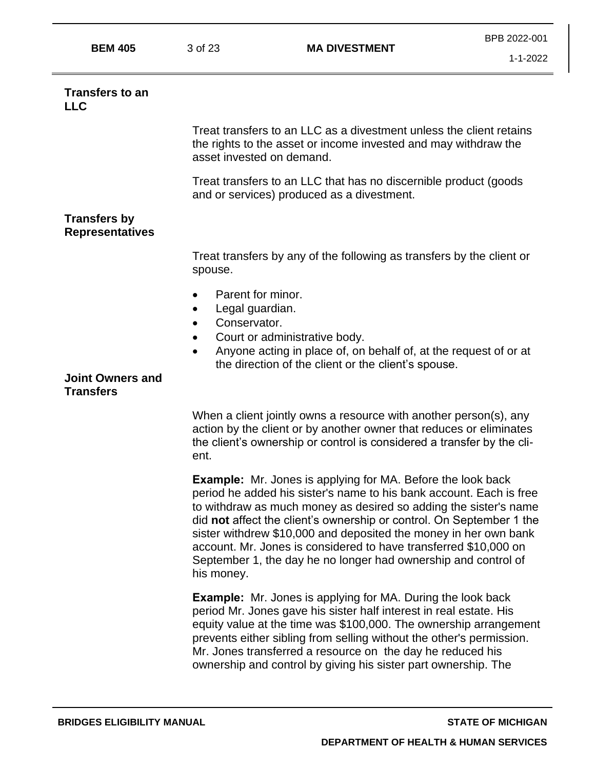| M | ı<br><b>STATISTICS</b> |
|---|------------------------|
|---|------------------------|

**BEM 405** 3 of 23 **MA DIVESTMENT**

#### **Transfers to an**  $\mathsf{L}$

Treat transfers to an LLC as a divestment unless the client retains the rights to the asset or income invested and may withdraw the asset invested on demand.

Treat transfers to an LLC that has no discernible product (goods and or services) produced as a divestment.

#### **Transfers by Representatives**

Treat transfers by any of the following as transfers by the client or spouse.

- Parent for minor.
- Legal guardian.
- Conservator.
- Court or administrative body.
- Anyone acting in place of, on behalf of, at the request of or at the direction of the client or the client's spouse.

#### **Joint Owners and Transfers**

When a client jointly owns a resource with another person(s), any action by the client or by another owner that reduces or eliminates the client's ownership or control is considered a transfer by the client.

**Example:** Mr. Jones is applying for MA. Before the look back period he added his sister's name to his bank account. Each is free to withdraw as much money as desired so adding the sister's name did **not** affect the client's ownership or control. On September 1 the sister withdrew \$10,000 and deposited the money in her own bank account. Mr. Jones is considered to have transferred \$10,000 on September 1, the day he no longer had ownership and control of his money.

**Example:** Mr. Jones is applying for MA. During the look back period Mr. Jones gave his sister half interest in real estate. His equity value at the time was \$100,000. The ownership arrangement prevents either sibling from selling without the other's permission. Mr. Jones transferred a resource on the day he reduced his ownership and control by giving his sister part ownership. The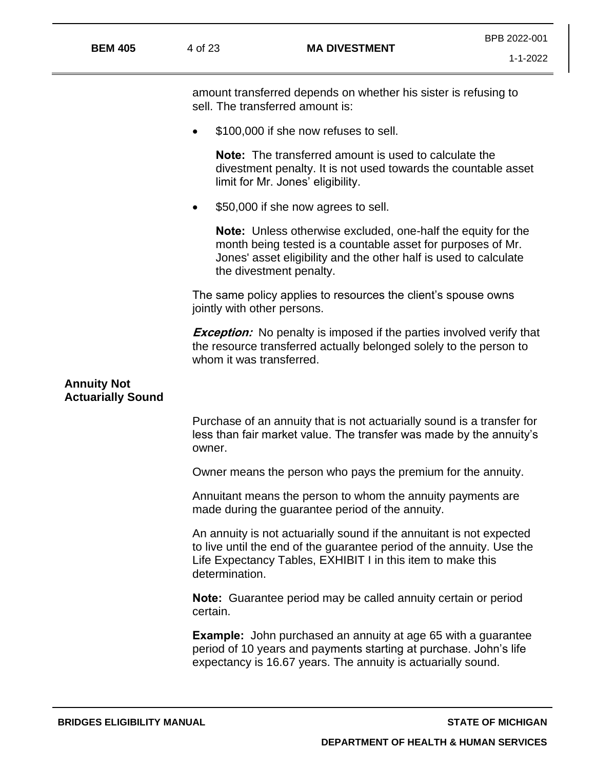| <b>BEM 405</b>                                 | 4 of 23                           | <b>MA DIVESTMENT</b>                                                                                                                                                                                         | BPB 2022-001<br>$1 - 1 - 2022$ |
|------------------------------------------------|-----------------------------------|--------------------------------------------------------------------------------------------------------------------------------------------------------------------------------------------------------------|--------------------------------|
|                                                |                                   |                                                                                                                                                                                                              |                                |
|                                                | sell. The transferred amount is:  | amount transferred depends on whether his sister is refusing to                                                                                                                                              |                                |
|                                                | $\bullet$                         | \$100,000 if she now refuses to sell.                                                                                                                                                                        |                                |
|                                                | limit for Mr. Jones' eligibility. | <b>Note:</b> The transferred amount is used to calculate the<br>divestment penalty. It is not used towards the countable asset                                                                               |                                |
|                                                | $\bullet$                         | \$50,000 if she now agrees to sell.                                                                                                                                                                          |                                |
|                                                | the divestment penalty.           | Note: Unless otherwise excluded, one-half the equity for the<br>month being tested is a countable asset for purposes of Mr.<br>Jones' asset eligibility and the other half is used to calculate              |                                |
|                                                | jointly with other persons.       | The same policy applies to resources the client's spouse owns                                                                                                                                                |                                |
|                                                | whom it was transferred.          | <b>Exception:</b> No penalty is imposed if the parties involved verify that<br>the resource transferred actually belonged solely to the person to                                                            |                                |
| <b>Annuity Not</b><br><b>Actuarially Sound</b> |                                   |                                                                                                                                                                                                              |                                |
|                                                | owner.                            | Purchase of an annuity that is not actuarially sound is a transfer for<br>less than fair market value. The transfer was made by the annuity's                                                                |                                |
|                                                |                                   | Owner means the person who pays the premium for the annuity.                                                                                                                                                 |                                |
|                                                |                                   | Annuitant means the person to whom the annuity payments are<br>made during the guarantee period of the annuity.                                                                                              |                                |
|                                                | determination.                    | An annuity is not actuarially sound if the annuitant is not expected<br>to live until the end of the guarantee period of the annuity. Use the<br>Life Expectancy Tables, EXHIBIT I in this item to make this |                                |
|                                                | certain.                          | <b>Note:</b> Guarantee period may be called annuity certain or period                                                                                                                                        |                                |
|                                                |                                   | <b>Example:</b> John purchased an annuity at age 65 with a guarantee<br>period of 10 years and payments starting at purchase. John's life<br>expectancy is 16.67 years. The annuity is actuarially sound.    |                                |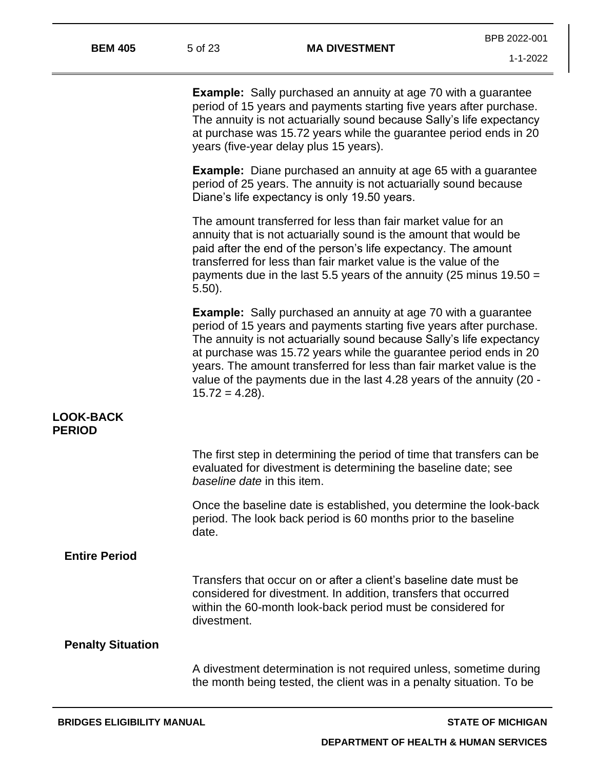**Example:** Sally purchased an annuity at age 70 with a guarantee period of 15 years and payments starting five years after purchase. The annuity is not actuarially sound because Sally's life expectancy at purchase was 15.72 years while the guarantee period ends in 20 years (five-year delay plus 15 years).

**Example:** Diane purchased an annuity at age 65 with a guarantee period of 25 years. The annuity is not actuarially sound because Diane's life expectancy is only 19.50 years.

The amount transferred for less than fair market value for an annuity that is not actuarially sound is the amount that would be paid after the end of the person's life expectancy. The amount transferred for less than fair market value is the value of the payments due in the last 5.5 years of the annuity (25 minus 19.50 = 5.50).

**Example:** Sally purchased an annuity at age 70 with a guarantee period of 15 years and payments starting five years after purchase. The annuity is not actuarially sound because Sally's life expectancy at purchase was 15.72 years while the guarantee period ends in 20 years. The amount transferred for less than fair market value is the value of the payments due in the last 4.28 years of the annuity (20 -  $15.72 = 4.28$ ).

#### **LOOK-BACK PERIOD**

|                          | The first step in determining the period of time that transfers can be<br>evaluated for divestment is determining the baseline date; see<br>baseline date in this item.                                            |
|--------------------------|--------------------------------------------------------------------------------------------------------------------------------------------------------------------------------------------------------------------|
|                          | Once the baseline date is established, you determine the look-back<br>period. The look back period is 60 months prior to the baseline<br>date.                                                                     |
| <b>Entire Period</b>     |                                                                                                                                                                                                                    |
|                          | Transfers that occur on or after a client's baseline date must be<br>considered for divestment. In addition, transfers that occurred<br>within the 60-month look-back period must be considered for<br>divestment. |
| <b>Penalty Situation</b> |                                                                                                                                                                                                                    |
|                          | A divestment determination is not required unless, sometime during<br>the month being tested, the client was in a penalty situation. To be                                                                         |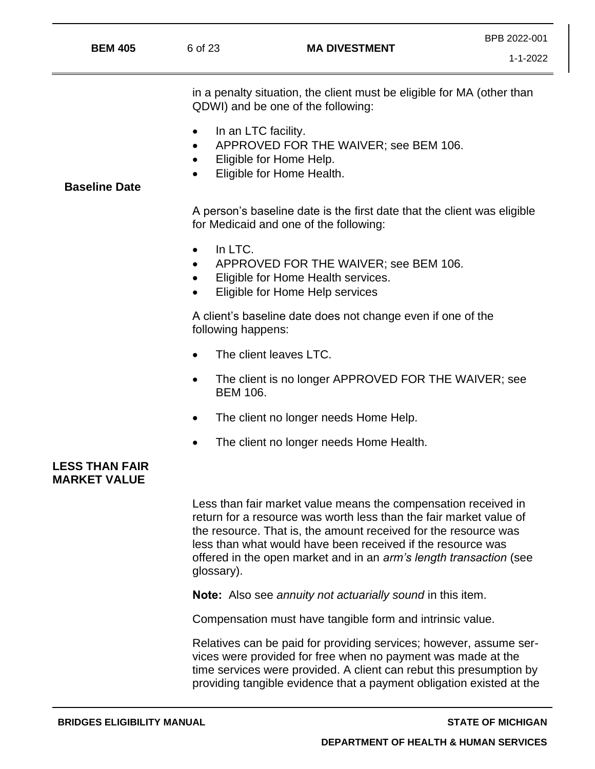| <b>BEM 405</b>       | 6 of 23                                       | <b>MA DIVESTMENT</b>                                                                                              | $1 - 1 - 2022$ |
|----------------------|-----------------------------------------------|-------------------------------------------------------------------------------------------------------------------|----------------|
|                      |                                               | in a penalty situation, the client must be eligible for MA (other than<br>QDWI) and be one of the following:      |                |
| <b>Baseline Date</b> | In an LTC facility.<br>$\bullet$<br>$\bullet$ | APPROVED FOR THE WAIVER; see BEM 106.<br>Eligible for Home Help.<br>Eligible for Home Health.                     |                |
|                      |                                               | A person's baseline date is the first date that the client was eligible<br>for Medicaid and one of the following: |                |
|                      | In LTC.<br>$\bullet$                          | APPROVED FOR THE WAIVER; see BEM 106.<br>Eligible for Home Health services.<br>Eligible for Home Help services    |                |
|                      | following happens:                            | A client's baseline date does not change even if one of the                                                       |                |
|                      |                                               | The client leaves LTC.                                                                                            |                |
|                      | <b>BEM 106.</b>                               | The client is no longer APPROVED FOR THE WAIVER; see                                                              |                |
|                      |                                               | The client no longer needs Home Help.                                                                             |                |
|                      |                                               | The client no longer needs Home Health.                                                                           |                |
|                      |                                               |                                                                                                                   |                |

### **LESS THAN FAIR MARKET VALUE**

Less than fair market value means the compensation received in return for a resource was worth less than the fair market value of the resource. That is, the amount received for the resource was less than what would have been received if the resource was offered in the open market and in an *arm's length transaction* (see glossary).

**Note:** Also see *annuity not actuarially sound* in this item.

Compensation must have tangible form and intrinsic value.

Relatives can be paid for providing services; however, assume services were provided for free when no payment was made at the time services were provided. A client can rebut this presumption by providing tangible evidence that a payment obligation existed at the

BPB 2022-001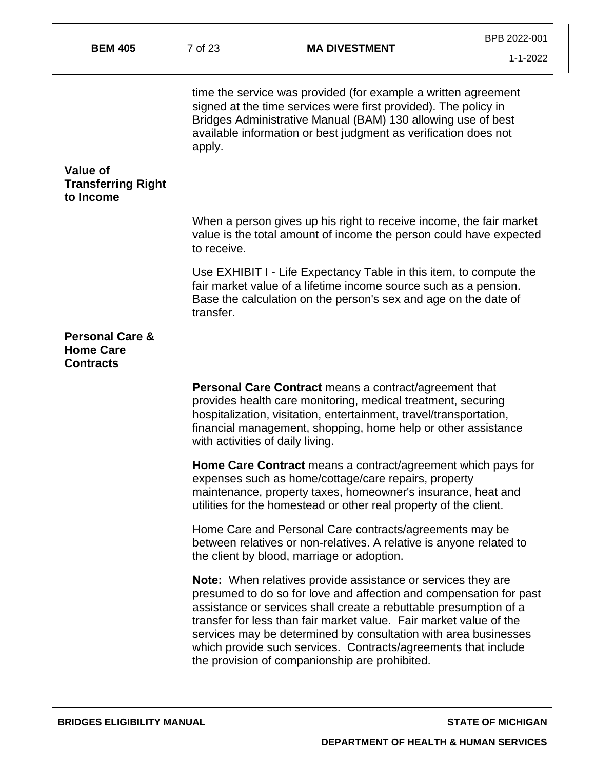| <b>BEM 405</b>                                                     | 7 of 23                          | <b>MA DIVESTMENT</b>                                                                                                                                                                                                                                                                                                                                                                                                                                                        | BPB 2022-001<br>$1 - 1 - 2022$ |
|--------------------------------------------------------------------|----------------------------------|-----------------------------------------------------------------------------------------------------------------------------------------------------------------------------------------------------------------------------------------------------------------------------------------------------------------------------------------------------------------------------------------------------------------------------------------------------------------------------|--------------------------------|
|                                                                    | apply.                           | time the service was provided (for example a written agreement<br>signed at the time services were first provided). The policy in<br>Bridges Administrative Manual (BAM) 130 allowing use of best<br>available information or best judgment as verification does not                                                                                                                                                                                                        |                                |
| <b>Value of</b><br><b>Transferring Right</b><br>to Income          |                                  |                                                                                                                                                                                                                                                                                                                                                                                                                                                                             |                                |
|                                                                    | to receive.                      | When a person gives up his right to receive income, the fair market<br>value is the total amount of income the person could have expected                                                                                                                                                                                                                                                                                                                                   |                                |
|                                                                    | transfer.                        | Use EXHIBIT I - Life Expectancy Table in this item, to compute the<br>fair market value of a lifetime income source such as a pension.<br>Base the calculation on the person's sex and age on the date of                                                                                                                                                                                                                                                                   |                                |
| <b>Personal Care &amp;</b><br><b>Home Care</b><br><b>Contracts</b> |                                  |                                                                                                                                                                                                                                                                                                                                                                                                                                                                             |                                |
|                                                                    | with activities of daily living. | <b>Personal Care Contract</b> means a contract/agreement that<br>provides health care monitoring, medical treatment, securing<br>hospitalization, visitation, entertainment, travel/transportation,<br>financial management, shopping, home help or other assistance                                                                                                                                                                                                        |                                |
|                                                                    |                                  | Home Care Contract means a contract/agreement which pays for<br>expenses such as home/cottage/care repairs, property<br>maintenance, property taxes, homeowner's insurance, heat and<br>utilities for the homestead or other real property of the client.                                                                                                                                                                                                                   |                                |
|                                                                    |                                  | Home Care and Personal Care contracts/agreements may be<br>between relatives or non-relatives. A relative is anyone related to<br>the client by blood, marriage or adoption.                                                                                                                                                                                                                                                                                                |                                |
|                                                                    |                                  | <b>Note:</b> When relatives provide assistance or services they are<br>presumed to do so for love and affection and compensation for past<br>assistance or services shall create a rebuttable presumption of a<br>transfer for less than fair market value. Fair market value of the<br>services may be determined by consultation with area businesses<br>which provide such services. Contracts/agreements that include<br>the provision of companionship are prohibited. |                                |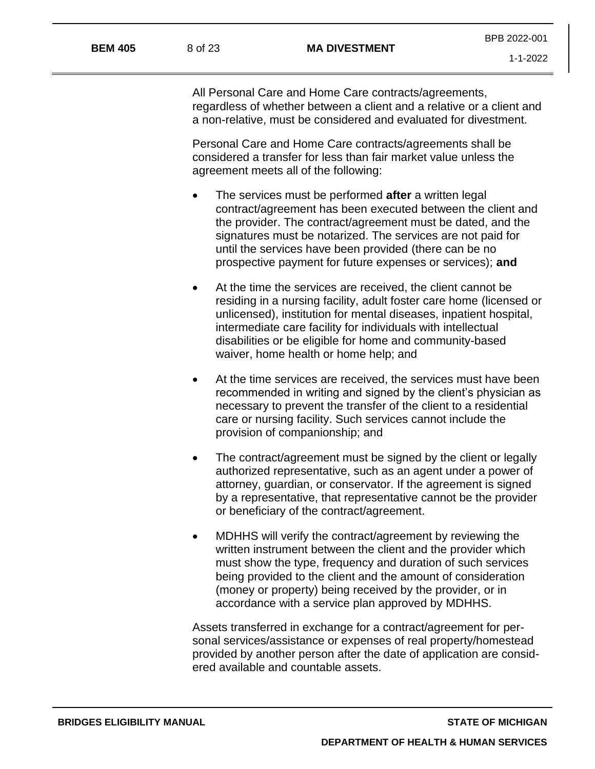All Personal Care and Home Care contracts/agreements, regardless of whether between a client and a relative or a client and a non-relative, must be considered and evaluated for divestment.

Personal Care and Home Care contracts/agreements shall be considered a transfer for less than fair market value unless the agreement meets all of the following:

- The services must be performed **after** a written legal contract/agreement has been executed between the client and the provider. The contract/agreement must be dated, and the signatures must be notarized. The services are not paid for until the services have been provided (there can be no prospective payment for future expenses or services); **and**
- At the time the services are received, the client cannot be residing in a nursing facility, adult foster care home (licensed or unlicensed), institution for mental diseases, inpatient hospital, intermediate care facility for individuals with intellectual disabilities or be eligible for home and community-based waiver, home health or home help; and
- At the time services are received, the services must have been recommended in writing and signed by the client's physician as necessary to prevent the transfer of the client to a residential care or nursing facility. Such services cannot include the provision of companionship; and
- The contract/agreement must be signed by the client or legally authorized representative, such as an agent under a power of attorney, guardian, or conservator. If the agreement is signed by a representative, that representative cannot be the provider or beneficiary of the contract/agreement.
- MDHHS will verify the contract/agreement by reviewing the written instrument between the client and the provider which must show the type, frequency and duration of such services being provided to the client and the amount of consideration (money or property) being received by the provider, or in accordance with a service plan approved by MDHHS.

Assets transferred in exchange for a contract/agreement for personal services/assistance or expenses of real property/homestead provided by another person after the date of application are considered available and countable assets.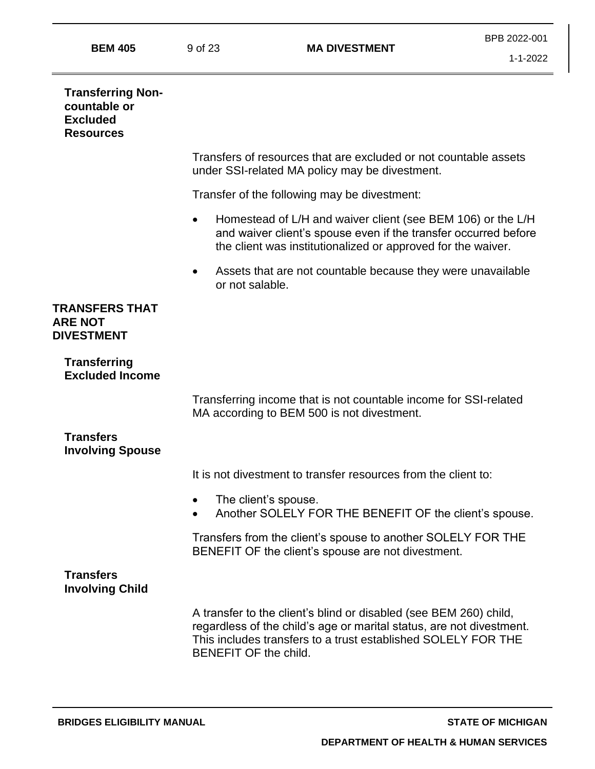|                                                                                 |                       |                                                                                                                                                                                                            | DED ZUZZ-UUT |
|---------------------------------------------------------------------------------|-----------------------|------------------------------------------------------------------------------------------------------------------------------------------------------------------------------------------------------------|--------------|
| <b>BEM 405</b>                                                                  | 9 of 23               | <b>MA DIVESTMENT</b>                                                                                                                                                                                       | 1-1-2022     |
| <b>Transferring Non-</b><br>countable or<br><b>Excluded</b><br><b>Resources</b> |                       |                                                                                                                                                                                                            |              |
|                                                                                 |                       | Transfers of resources that are excluded or not countable assets<br>under SSI-related MA policy may be divestment.                                                                                         |              |
|                                                                                 |                       | Transfer of the following may be divestment:                                                                                                                                                               |              |
|                                                                                 | $\bullet$             | Homestead of L/H and waiver client (see BEM 106) or the L/H<br>and waiver client's spouse even if the transfer occurred before<br>the client was institutionalized or approved for the waiver.             |              |
|                                                                                 | ٠<br>or not salable.  | Assets that are not countable because they were unavailable                                                                                                                                                |              |
| <b>TRANSFERS THAT</b><br><b>ARE NOT</b><br><b>DIVESTMENT</b>                    |                       |                                                                                                                                                                                                            |              |
| <b>Transferring</b><br><b>Excluded Income</b>                                   |                       |                                                                                                                                                                                                            |              |
|                                                                                 |                       | Transferring income that is not countable income for SSI-related<br>MA according to BEM 500 is not divestment.                                                                                             |              |
| <b>Transfers</b><br><b>Involving Spouse</b>                                     |                       |                                                                                                                                                                                                            |              |
|                                                                                 |                       | It is not divestment to transfer resources from the client to:                                                                                                                                             |              |
|                                                                                 |                       | The client's spouse.<br>Another SOLELY FOR THE BENEFIT OF the client's spouse.                                                                                                                             |              |
|                                                                                 |                       | Transfers from the client's spouse to another SOLELY FOR THE<br>BENEFIT OF the client's spouse are not divestment.                                                                                         |              |
| <b>Transfers</b><br><b>Involving Child</b>                                      |                       |                                                                                                                                                                                                            |              |
|                                                                                 | BENEFIT OF the child. | A transfer to the client's blind or disabled (see BEM 260) child,<br>regardless of the child's age or marital status, are not divestment.<br>This includes transfers to a trust established SOLELY FOR THE |              |

BPB 2022-001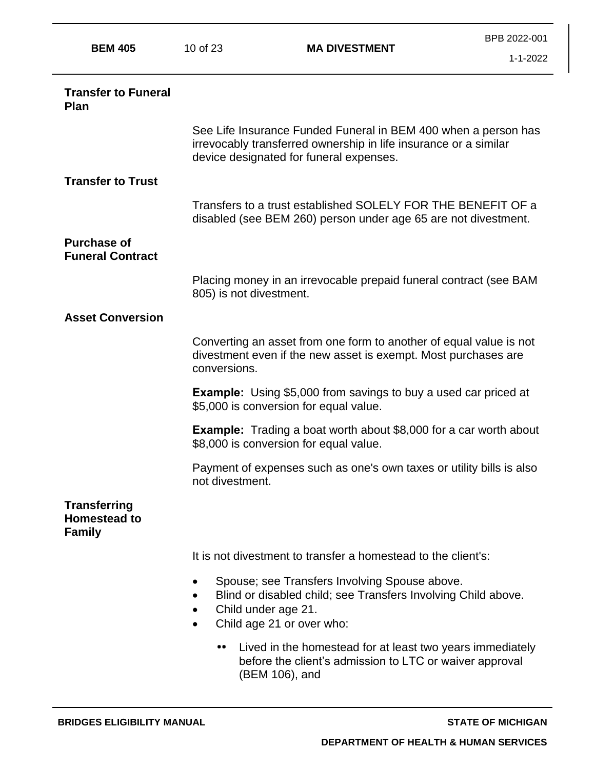| <b>BEM 405</b>                                              | 10 of 23                | <b>MA DIVESTMENT</b>                                                                                                                                                          | BPB 2022-001   |
|-------------------------------------------------------------|-------------------------|-------------------------------------------------------------------------------------------------------------------------------------------------------------------------------|----------------|
|                                                             |                         |                                                                                                                                                                               | $1 - 1 - 2022$ |
| <b>Transfer to Funeral</b><br>Plan                          |                         |                                                                                                                                                                               |                |
|                                                             |                         | See Life Insurance Funded Funeral in BEM 400 when a person has<br>irrevocably transferred ownership in life insurance or a similar<br>device designated for funeral expenses. |                |
| <b>Transfer to Trust</b>                                    |                         |                                                                                                                                                                               |                |
|                                                             |                         | Transfers to a trust established SOLELY FOR THE BENEFIT OF a<br>disabled (see BEM 260) person under age 65 are not divestment.                                                |                |
| <b>Purchase of</b><br><b>Funeral Contract</b>               |                         |                                                                                                                                                                               |                |
|                                                             | 805) is not divestment. | Placing money in an irrevocable prepaid funeral contract (see BAM                                                                                                             |                |
| <b>Asset Conversion</b>                                     |                         |                                                                                                                                                                               |                |
|                                                             | conversions.            | Converting an asset from one form to another of equal value is not<br>divestment even if the new asset is exempt. Most purchases are                                          |                |
|                                                             |                         | <b>Example:</b> Using \$5,000 from savings to buy a used car priced at<br>\$5,000 is conversion for equal value.                                                              |                |
|                                                             |                         | <b>Example:</b> Trading a boat worth about \$8,000 for a car worth about<br>\$8,000 is conversion for equal value.                                                            |                |
|                                                             | not divestment.         | Payment of expenses such as one's own taxes or utility bills is also                                                                                                          |                |
| <b>Transferring</b><br><b>Homestead to</b><br><b>Family</b> |                         |                                                                                                                                                                               |                |
|                                                             |                         | It is not divestment to transfer a homestead to the client's:                                                                                                                 |                |
|                                                             | Child under age 21.     | Spouse; see Transfers Involving Spouse above.<br>Blind or disabled child; see Transfers Involving Child above.<br>Child age 21 or over who:                                   |                |
|                                                             |                         | Lived in the homestead for at least two years immediately<br>before the client's admission to LTC or waiver approval<br>(BEM 106), and                                        |                |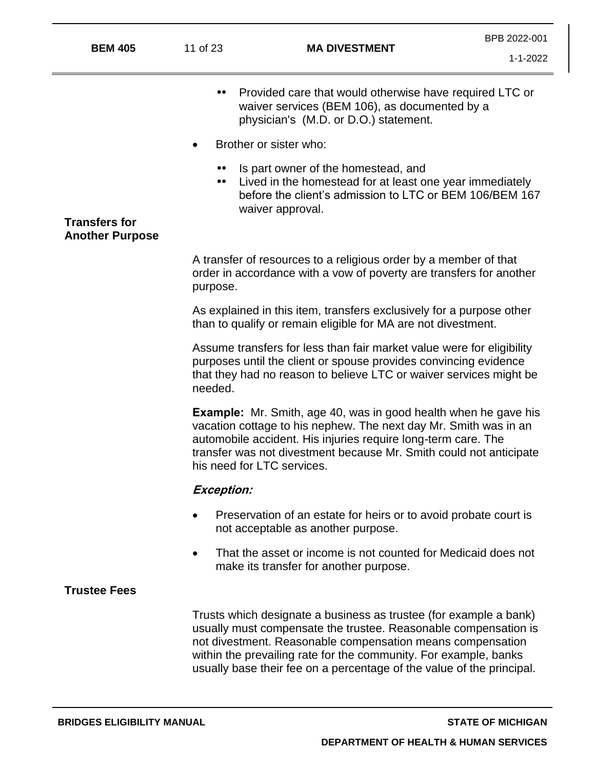| <b>BEM 405</b>         | 11 of 23             | <b>MA DIVESTMENT</b>                                                                                                                                                                                                                                                                                                                            | BPB 2022-001<br>$1 - 1 - 2022$ |
|------------------------|----------------------|-------------------------------------------------------------------------------------------------------------------------------------------------------------------------------------------------------------------------------------------------------------------------------------------------------------------------------------------------|--------------------------------|
|                        |                      | Provided care that would otherwise have required LTC or<br>waiver services (BEM 106), as documented by a<br>physician's (M.D. or D.O.) statement.                                                                                                                                                                                               |                                |
|                        |                      | Brother or sister who:                                                                                                                                                                                                                                                                                                                          |                                |
| <b>Transfers for</b>   | <br>$\bullet\bullet$ | Is part owner of the homestead, and<br>Lived in the homestead for at least one year immediately<br>before the client's admission to LTC or BEM 106/BEM 167<br>waiver approval.                                                                                                                                                                  |                                |
| <b>Another Purpose</b> |                      |                                                                                                                                                                                                                                                                                                                                                 |                                |
|                        | purpose.             | A transfer of resources to a religious order by a member of that<br>order in accordance with a vow of poverty are transfers for another                                                                                                                                                                                                         |                                |
|                        |                      | As explained in this item, transfers exclusively for a purpose other<br>than to qualify or remain eligible for MA are not divestment.                                                                                                                                                                                                           |                                |
|                        | needed.              | Assume transfers for less than fair market value were for eligibility<br>purposes until the client or spouse provides convincing evidence<br>that they had no reason to believe LTC or waiver services might be                                                                                                                                 |                                |
|                        |                      | <b>Example:</b> Mr. Smith, age 40, was in good health when he gave his<br>vacation cottage to his nephew. The next day Mr. Smith was in an<br>automobile accident. His injuries require long-term care. The<br>transfer was not divestment because Mr. Smith could not anticipate<br>his need for LTC services.                                 |                                |
|                        | <b>Exception:</b>    |                                                                                                                                                                                                                                                                                                                                                 |                                |
|                        |                      | Preservation of an estate for heirs or to avoid probate court is<br>not acceptable as another purpose.                                                                                                                                                                                                                                          |                                |
|                        |                      | That the asset or income is not counted for Medicaid does not<br>make its transfer for another purpose.                                                                                                                                                                                                                                         |                                |
| <b>Trustee Fees</b>    |                      |                                                                                                                                                                                                                                                                                                                                                 |                                |
|                        |                      | Trusts which designate a business as trustee (for example a bank)<br>usually must compensate the trustee. Reasonable compensation is<br>not divestment. Reasonable compensation means compensation<br>within the prevailing rate for the community. For example, banks<br>usually base their fee on a percentage of the value of the principal. |                                |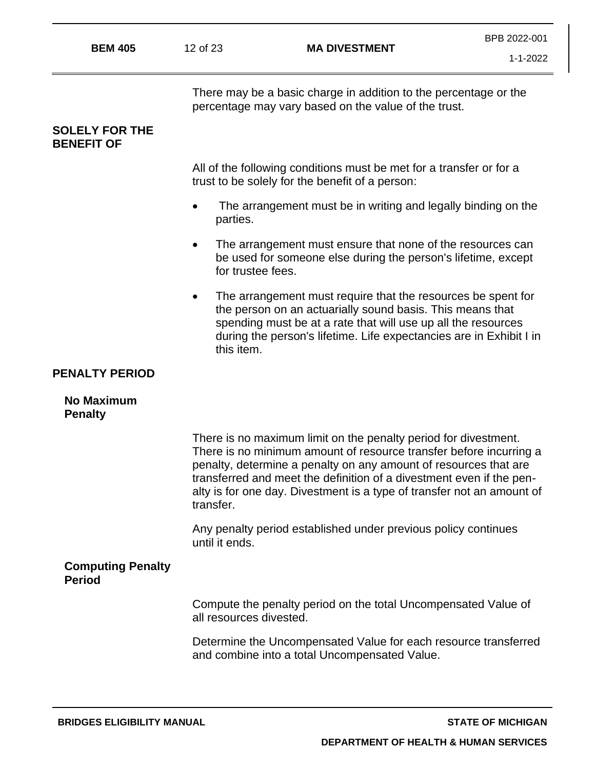| <b>BEM 405</b>                            | 12 of 23                | <b>MA DIVESTMENT</b>                                                                                                                                                                                                                                                                                                                                        | $1 - 1 - 2022$ |
|-------------------------------------------|-------------------------|-------------------------------------------------------------------------------------------------------------------------------------------------------------------------------------------------------------------------------------------------------------------------------------------------------------------------------------------------------------|----------------|
| <b>SOLELY FOR THE</b>                     |                         | There may be a basic charge in addition to the percentage or the<br>percentage may vary based on the value of the trust.                                                                                                                                                                                                                                    |                |
| <b>BENEFIT OF</b>                         |                         |                                                                                                                                                                                                                                                                                                                                                             |                |
|                                           |                         | All of the following conditions must be met for a transfer or for a<br>trust to be solely for the benefit of a person:                                                                                                                                                                                                                                      |                |
|                                           | parties.                | The arrangement must be in writing and legally binding on the                                                                                                                                                                                                                                                                                               |                |
|                                           | $\bullet$               | The arrangement must ensure that none of the resources can<br>be used for someone else during the person's lifetime, except<br>for trustee fees.                                                                                                                                                                                                            |                |
|                                           | $\bullet$<br>this item. | The arrangement must require that the resources be spent for<br>the person on an actuarially sound basis. This means that<br>spending must be at a rate that will use up all the resources<br>during the person's lifetime. Life expectancies are in Exhibit I in                                                                                           |                |
| <b>PENALTY PERIOD</b>                     |                         |                                                                                                                                                                                                                                                                                                                                                             |                |
| <b>No Maximum</b><br><b>Penalty</b>       |                         |                                                                                                                                                                                                                                                                                                                                                             |                |
|                                           | transfer.               | There is no maximum limit on the penalty period for divestment.<br>There is no minimum amount of resource transfer before incurring a<br>penalty, determine a penalty on any amount of resources that are<br>transferred and meet the definition of a divestment even if the pen-<br>alty is for one day. Divestment is a type of transfer not an amount of |                |
|                                           | until it ends.          | Any penalty period established under previous policy continues                                                                                                                                                                                                                                                                                              |                |
| <b>Computing Penalty</b><br><b>Period</b> |                         |                                                                                                                                                                                                                                                                                                                                                             |                |
|                                           | all resources divested. | Compute the penalty period on the total Uncompensated Value of                                                                                                                                                                                                                                                                                              |                |
|                                           |                         | Determine the Uncompensated Value for each resource transferred<br>and combine into a total Uncompensated Value.                                                                                                                                                                                                                                            |                |
|                                           |                         |                                                                                                                                                                                                                                                                                                                                                             |                |

BPB 2022-001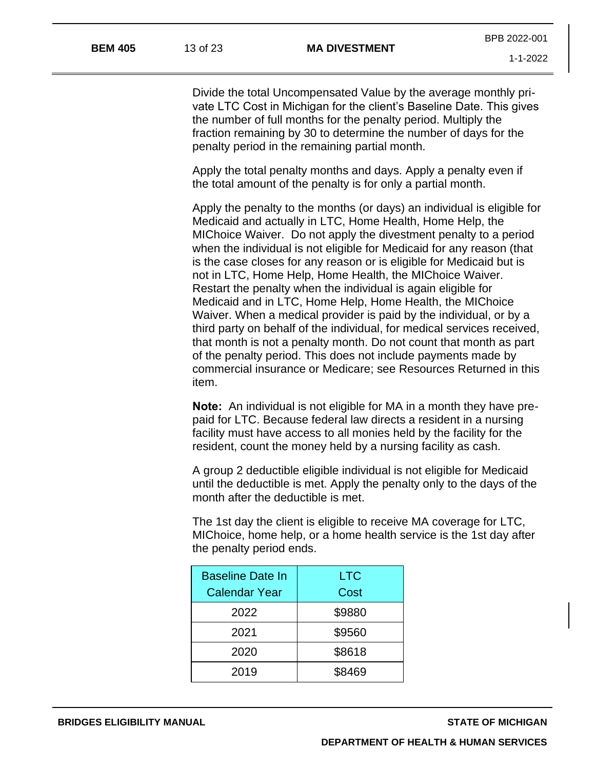Divide the total Uncompensated Value by the average monthly private LTC Cost in Michigan for the client's Baseline Date. This gives the number of full months for the penalty period. Multiply the fraction remaining by 30 to determine the number of days for the penalty period in the remaining partial month.

Apply the total penalty months and days. Apply a penalty even if the total amount of the penalty is for only a partial month.

Apply the penalty to the months (or days) an individual is eligible for Medicaid and actually in LTC, Home Health, Home Help, the MIChoice Waiver. Do not apply the divestment penalty to a period when the individual is not eligible for Medicaid for any reason (that is the case closes for any reason or is eligible for Medicaid but is not in LTC, Home Help, Home Health, the MIChoice Waiver. Restart the penalty when the individual is again eligible for Medicaid and in LTC, Home Help, Home Health, the MIChoice Waiver. When a medical provider is paid by the individual, or by a third party on behalf of the individual, for medical services received, that month is not a penalty month. Do not count that month as part of the penalty period. This does not include payments made by commercial insurance or Medicare; see Resources Returned in this item.

**Note:** An individual is not eligible for MA in a month they have prepaid for LTC. Because federal law directs a resident in a nursing facility must have access to all monies held by the facility for the resident, count the money held by a nursing facility as cash.

A group 2 deductible eligible individual is not eligible for Medicaid until the deductible is met. Apply the penalty only to the days of the month after the deductible is met.

The 1st day the client is eligible to receive MA coverage for LTC, MIChoice, home help, or a home health service is the 1st day after the penalty period ends.

| <b>Baseline Date In</b> | <b>LTC</b> |
|-------------------------|------------|
| <b>Calendar Year</b>    | Cost       |
| 2022                    | \$9880     |
| 2021                    | \$9560     |
| 2020                    | \$8618     |
| 2019                    | \$8469     |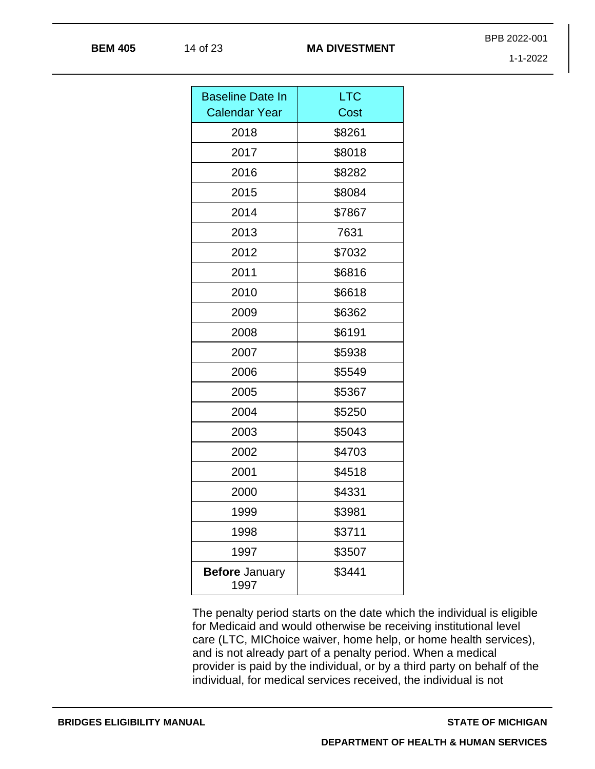1-1-2022

BPB 2022-001

| <b>Baseline Date In</b>       | <b>LTC</b> |
|-------------------------------|------------|
| <b>Calendar Year</b>          | Cost       |
| 2018                          | \$8261     |
| 2017                          | \$8018     |
| 2016                          | \$8282     |
| 2015                          | \$8084     |
| 2014                          | \$7867     |
| 2013                          | 7631       |
| 2012                          | \$7032     |
| 2011                          | \$6816     |
| 2010                          | \$6618     |
| 2009                          | \$6362     |
| 2008                          | \$6191     |
| 2007                          | \$5938     |
| 2006                          | \$5549     |
| 2005                          | \$5367     |
| 2004                          | \$5250     |
| 2003                          | \$5043     |
| 2002                          | \$4703     |
| 2001                          | \$4518     |
| 2000                          | \$4331     |
| 1999                          | \$3981     |
| 1998                          | \$3711     |
| 1997                          | \$3507     |
| <b>Before January</b><br>1997 | \$3441     |

The penalty period starts on the date which the individual is eligible for Medicaid and would otherwise be receiving institutional level care (LTC, MIChoice waiver, home help, or home health services), and is not already part of a penalty period. When a medical provider is paid by the individual, or by a third party on behalf of the individual, for medical services received, the individual is not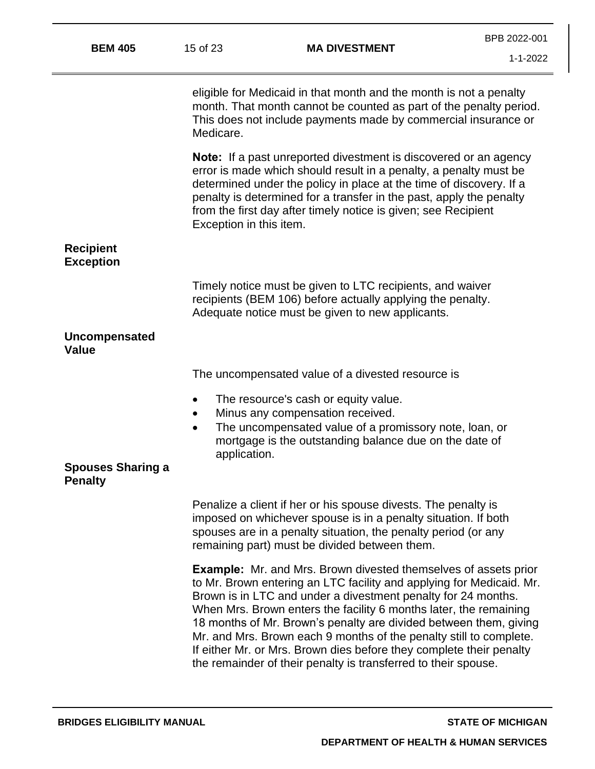| <b>BEM 405</b>                             | 15 of 23                  | <b>MA DIVESTMENT</b>                                                                                                                                                                                                                                                                                                                                                                                                                                                                                                                                                     | BPB 2022-001<br>1-1-2022 |
|--------------------------------------------|---------------------------|--------------------------------------------------------------------------------------------------------------------------------------------------------------------------------------------------------------------------------------------------------------------------------------------------------------------------------------------------------------------------------------------------------------------------------------------------------------------------------------------------------------------------------------------------------------------------|--------------------------|
|                                            | Medicare.                 | eligible for Medicaid in that month and the month is not a penalty<br>month. That month cannot be counted as part of the penalty period.<br>This does not include payments made by commercial insurance or                                                                                                                                                                                                                                                                                                                                                               |                          |
|                                            | Exception in this item.   | <b>Note:</b> If a past unreported divestment is discovered or an agency<br>error is made which should result in a penalty, a penalty must be<br>determined under the policy in place at the time of discovery. If a<br>penalty is determined for a transfer in the past, apply the penalty<br>from the first day after timely notice is given; see Recipient                                                                                                                                                                                                             |                          |
| <b>Recipient</b><br><b>Exception</b>       |                           |                                                                                                                                                                                                                                                                                                                                                                                                                                                                                                                                                                          |                          |
|                                            |                           | Timely notice must be given to LTC recipients, and waiver<br>recipients (BEM 106) before actually applying the penalty.<br>Adequate notice must be given to new applicants.                                                                                                                                                                                                                                                                                                                                                                                              |                          |
| <b>Uncompensated</b><br><b>Value</b>       |                           |                                                                                                                                                                                                                                                                                                                                                                                                                                                                                                                                                                          |                          |
|                                            |                           | The uncompensated value of a divested resource is                                                                                                                                                                                                                                                                                                                                                                                                                                                                                                                        |                          |
|                                            | $\bullet$                 | The resource's cash or equity value.<br>Minus any compensation received.                                                                                                                                                                                                                                                                                                                                                                                                                                                                                                 |                          |
| <b>Spouses Sharing a</b><br><b>Penalty</b> | $\bullet$<br>application. | The uncompensated value of a promissory note, loan, or<br>mortgage is the outstanding balance due on the date of                                                                                                                                                                                                                                                                                                                                                                                                                                                         |                          |
|                                            |                           | Penalize a client if her or his spouse divests. The penalty is<br>imposed on whichever spouse is in a penalty situation. If both<br>spouses are in a penalty situation, the penalty period (or any<br>remaining part) must be divided between them.                                                                                                                                                                                                                                                                                                                      |                          |
|                                            |                           | <b>Example:</b> Mr. and Mrs. Brown divested themselves of assets prior<br>to Mr. Brown entering an LTC facility and applying for Medicaid. Mr.<br>Brown is in LTC and under a divestment penalty for 24 months.<br>When Mrs. Brown enters the facility 6 months later, the remaining<br>18 months of Mr. Brown's penalty are divided between them, giving<br>Mr. and Mrs. Brown each 9 months of the penalty still to complete.<br>If either Mr. or Mrs. Brown dies before they complete their penalty<br>the remainder of their penalty is transferred to their spouse. |                          |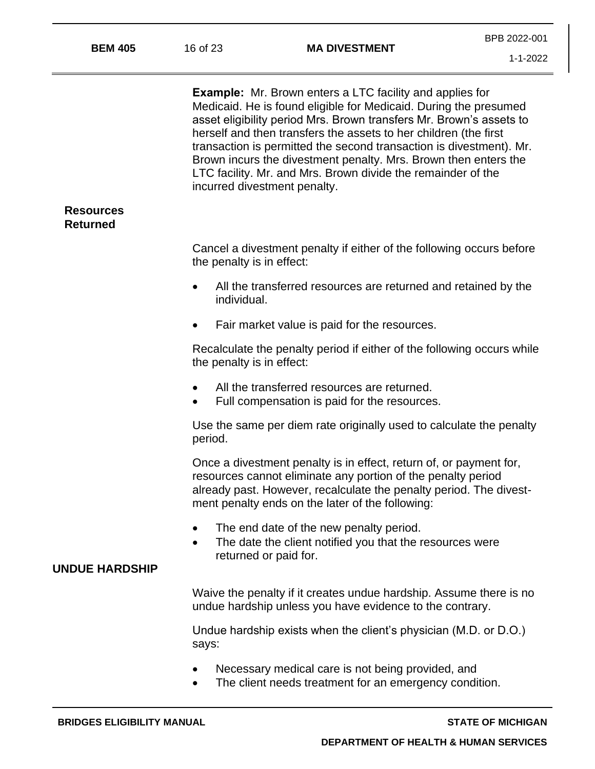**Example:** Mr. Brown enters a LTC facility and applies for Medicaid. He is found eligible for Medicaid. During the presumed asset eligibility period Mrs. Brown transfers Mr. Brown's assets to herself and then transfers the assets to her children (the first transaction is permitted the second transaction is divestment). Mr. Brown incurs the divestment penalty. Mrs. Brown then enters the LTC facility. Mr. and Mrs. Brown divide the remainder of the incurred divestment penalty. **Resources Returned** Cancel a divestment penalty if either of the following occurs before the penalty is in effect: • All the transferred resources are returned and retained by the individual. • Fair market value is paid for the resources. Recalculate the penalty period if either of the following occurs while the penalty is in effect: • All the transferred resources are returned. • Full compensation is paid for the resources. Use the same per diem rate originally used to calculate the penalty period. Once a divestment penalty is in effect, return of, or payment for, resources cannot eliminate any portion of the penalty period already past. However, recalculate the penalty period. The divestment penalty ends on the later of the following: The end date of the new penalty period. • The date the client notified you that the resources were returned or paid for. **UNDUE HARDSHIP** Waive the penalty if it creates undue hardship. Assume there is no undue hardship unless you have evidence to the contrary. Undue hardship exists when the client's physician (M.D. or D.O.) says: • Necessary medical care is not being provided, and

• The client needs treatment for an emergency condition.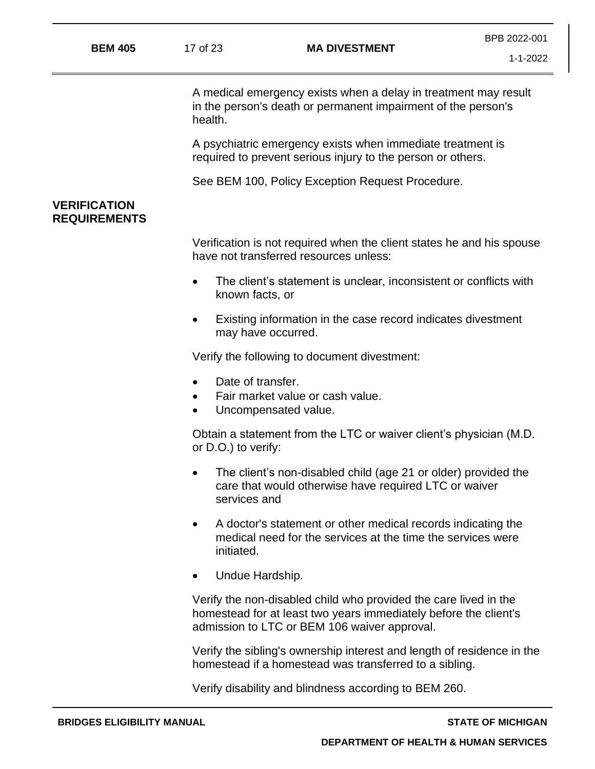A medical emergency exists when a delay in treatment may result in the person's death or permanent impairment of the person's health.

A psychiatric emergency exists when immediate treatment is required to prevent serious injury to the person or others.

See BEM 100, Policy Exception Request Procedure.

## **VERIFICATION REQUIREMENTS**

Verification is not required when the client states he and his spouse have not transferred resources unless:

- The client's statement is unclear, inconsistent or conflicts with known facts, or
- Existing information in the case record indicates divestment may have occurred.

Verify the following to document divestment:

- Date of transfer.
- Fair market value or cash value.
- Uncompensated value.

Obtain a statement from the LTC or waiver client's physician (M.D. or D.O.) to verify:

- The client's non-disabled child (age 21 or older) provided the care that would otherwise have required LTC or waiver services and
- A doctor's statement or other medical records indicating the medical need for the services at the time the services were initiated.
- Undue Hardship.

Verify the non-disabled child who provided the care lived in the homestead for at least two years immediately before the client's admission to LTC or BEM 106 waiver approval.

Verify the sibling's ownership interest and length of residence in the homestead if a homestead was transferred to a sibling.

Verify disability and blindness according to BEM 260.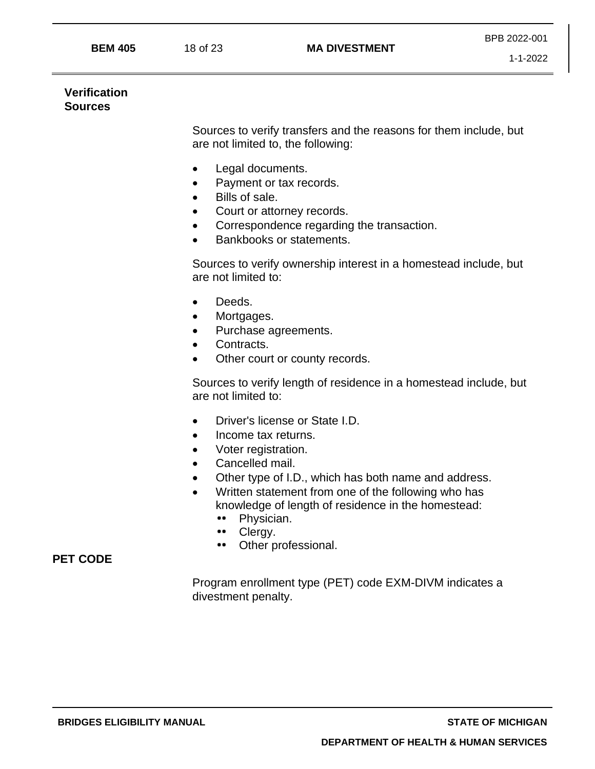#### **Verification Sources**

Sources to verify transfers and the reasons for them include, but are not limited to, the following:

- Legal documents.
- Payment or tax records.
- Bills of sale.
- Court or attorney records.
- Correspondence regarding the transaction.
- Bankbooks or statements.

Sources to verify ownership interest in a homestead include, but are not limited to:

- Deeds.
- Mortgages.
- Purchase agreements.
- Contracts.
- Other court or county records.

Sources to verify length of residence in a homestead include, but are not limited to:

- Driver's license or State I.D.
- Income tax returns.
- Voter registration.
- Cancelled mail.
- Other type of I.D., which has both name and address.
- Written statement from one of the following who has knowledge of length of residence in the homestead:
	- Physician.
	- $\bullet \bullet$ Clergy.
	- $\bullet \bullet$ Other professional.

## **PET CODE**

Program enrollment type (PET) code EXM-DIVM indicates a divestment penalty.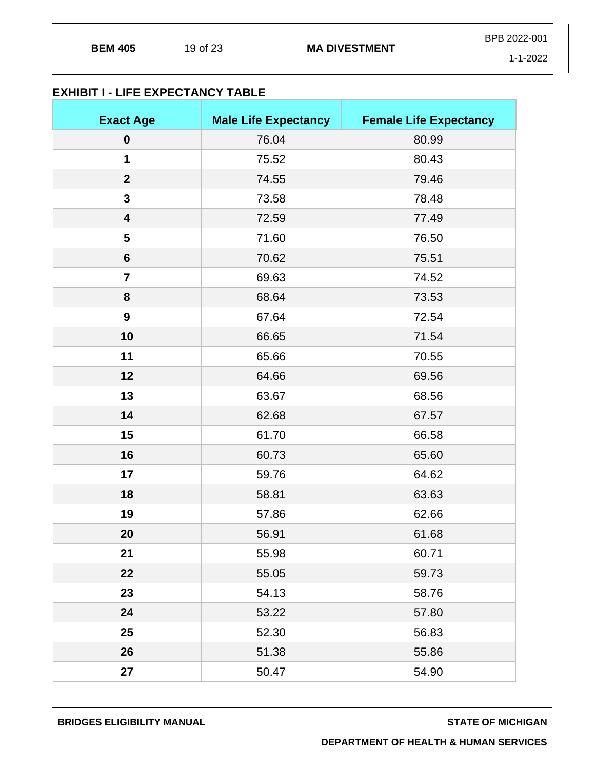| <b>BEM 405</b> |          | <b>MA DIVESTMENT</b> | BPB 2022-001 |
|----------------|----------|----------------------|--------------|
|                | 19 of 23 |                      | 1.1.2022     |

1-1-2022

# **EXHIBIT I - LIFE EXPECTANCY TABLE**

| <b>Exact Age</b>        | <b>Male Life Expectancy</b> | <b>Female Life Expectancy</b> |
|-------------------------|-----------------------------|-------------------------------|
| $\boldsymbol{0}$        | 76.04                       | 80.99                         |
| $\mathbf 1$             | 75.52                       | 80.43                         |
| $\mathbf{2}$            | 74.55                       | 79.46                         |
| 3                       | 73.58                       | 78.48                         |
| $\overline{\mathbf{4}}$ | 72.59                       | 77.49                         |
| 5                       | 71.60                       | 76.50                         |
| $6\phantom{1}$          | 70.62                       | 75.51                         |
| $\overline{\mathbf{7}}$ | 69.63                       | 74.52                         |
| 8                       | 68.64                       | 73.53                         |
| $\boldsymbol{9}$        | 67.64                       | 72.54                         |
| 10                      | 66.65                       | 71.54                         |
| 11                      | 65.66                       | 70.55                         |
| 12                      | 64.66                       | 69.56                         |
| 13                      | 63.67                       | 68.56                         |
| 14                      | 62.68                       | 67.57                         |
| 15                      | 61.70                       | 66.58                         |
| 16                      | 60.73                       | 65.60                         |
| 17                      | 59.76                       | 64.62                         |
| 18                      | 58.81                       | 63.63                         |
| 19                      | 57.86                       | 62.66                         |
| 20                      | 56.91                       | 61.68                         |
| 21                      | 55.98                       | 60.71                         |
| 22                      | 55.05                       | 59.73                         |
| 23                      | 54.13                       | 58.76                         |
| 24                      | 53.22                       | 57.80                         |
| 25                      | 52.30                       | 56.83                         |
| 26                      | 51.38                       | 55.86                         |
| 27                      | 50.47                       | 54.90                         |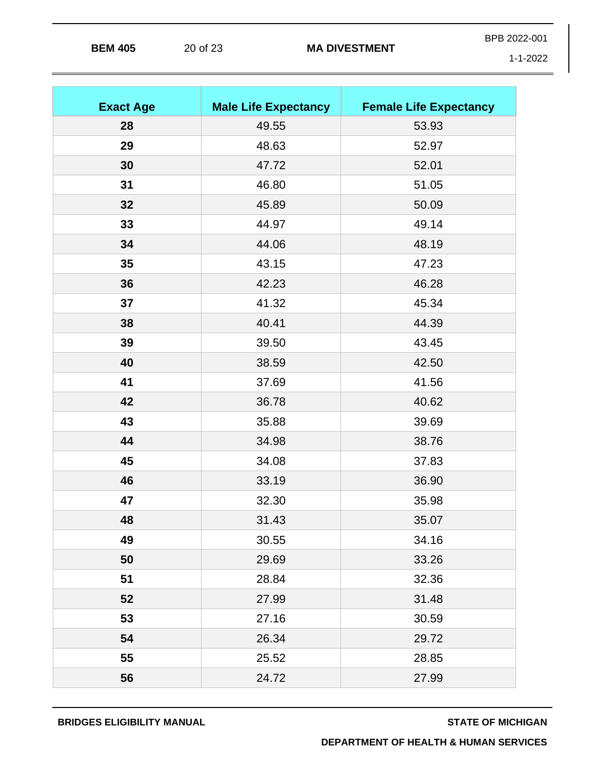|                |          |                      | BPB 2022-001   |
|----------------|----------|----------------------|----------------|
| <b>BEM 405</b> | 20 of 23 | <b>MA DIVESTMENT</b> | $1 - 1 - 2022$ |

| <b>Exact Age</b> | <b>Male Life Expectancy</b> | <b>Female Life Expectancy</b> |
|------------------|-----------------------------|-------------------------------|
| 28               | 49.55                       | 53.93                         |
| 29               | 48.63                       | 52.97                         |
| 30               | 47.72                       | 52.01                         |
| 31               | 46.80                       | 51.05                         |
| 32               | 45.89                       | 50.09                         |
| 33               | 44.97                       | 49.14                         |
| 34               | 44.06                       | 48.19                         |
| 35               | 43.15                       | 47.23                         |
| 36               | 42.23                       | 46.28                         |
| 37               | 41.32                       | 45.34                         |
| 38               | 40.41                       | 44.39                         |
| 39               | 39.50                       | 43.45                         |
| 40               | 38.59                       | 42.50                         |
| 41               | 37.69                       | 41.56                         |
| 42               | 36.78                       | 40.62                         |
| 43               | 35.88                       | 39.69                         |
| 44               | 34.98                       | 38.76                         |
| 45               | 34.08                       | 37.83                         |
| 46               | 33.19                       | 36.90                         |
| 47               | 32.30                       | 35.98                         |
| 48               | 31.43                       | 35.07                         |
| 49               | 30.55                       | 34.16                         |
| 50               | 29.69                       | 33.26                         |
| 51               | 28.84                       | 32.36                         |
| 52               | 27.99                       | 31.48                         |
| 53               | 27.16                       | 30.59                         |
| 54               | 26.34                       | 29.72                         |
| 55               | 25.52                       | 28.85                         |
| 56               | 24.72                       | 27.99                         |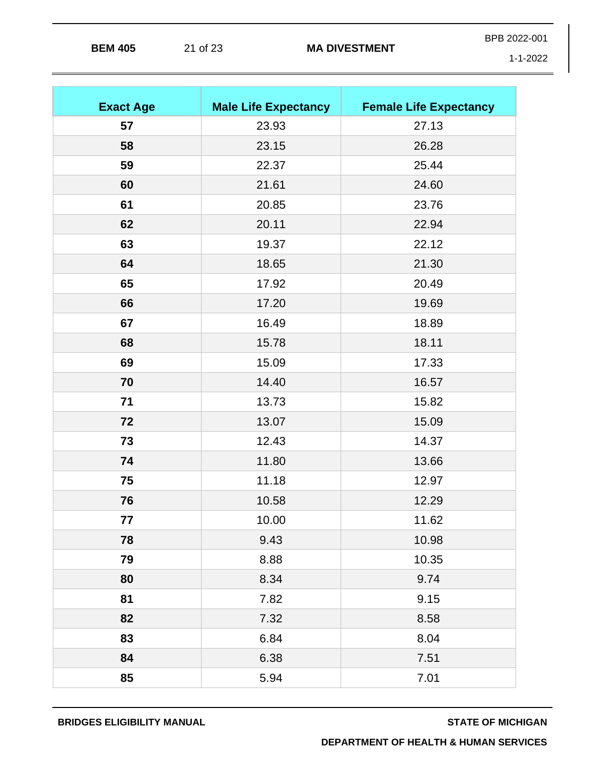|                |          | <b>MA DIVESTMENT</b> | BPB 2022-001 |
|----------------|----------|----------------------|--------------|
| <b>BEM 405</b> | 21 of 23 |                      | 1-1-2022     |

| <b>Exact Age</b> | <b>Male Life Expectancy</b> | <b>Female Life Expectancy</b> |
|------------------|-----------------------------|-------------------------------|
| 57               | 23.93                       | 27.13                         |
| 58               | 23.15                       | 26.28                         |
| 59               | 22.37                       | 25.44                         |
| 60               | 21.61                       | 24.60                         |
| 61               | 20.85                       | 23.76                         |
| 62               | 20.11                       | 22.94                         |
| 63               | 19.37                       | 22.12                         |
| 64               | 18.65                       | 21.30                         |
| 65               | 17.92                       | 20.49                         |
| 66               | 17.20                       | 19.69                         |
| 67               | 16.49                       | 18.89                         |
| 68               | 15.78                       | 18.11                         |
| 69               | 15.09                       | 17.33                         |
| 70               | 14.40                       | 16.57                         |
| 71               | 13.73                       | 15.82                         |
| 72               | 13.07                       | 15.09                         |
| 73               | 12.43                       | 14.37                         |
| 74               | 11.80                       | 13.66                         |
| 75               | 11.18                       | 12.97                         |
| 76               | 10.58                       | 12.29                         |
| 77               | 10.00                       | 11.62                         |
| 78               | 9.43                        | 10.98                         |
| 79               | 8.88                        | 10.35                         |
| 80               | 8.34                        | 9.74                          |
| 81               | 7.82                        | 9.15                          |
| 82               | 7.32                        | 8.58                          |
| 83               | 6.84                        | 8.04                          |
| 84               | 6.38                        | 7.51                          |
| 85               | 5.94                        | 7.01                          |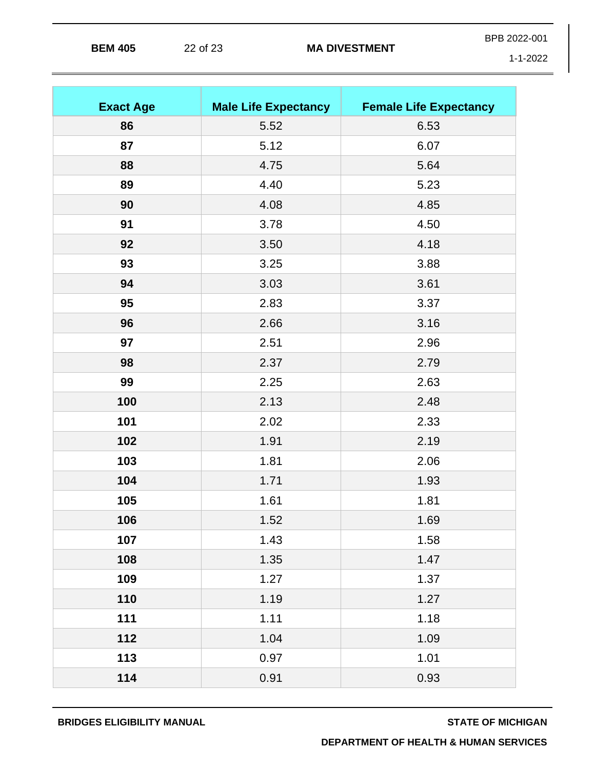| <b>BEM 405</b> | 22 of 23 | <b>MA DIVESTMENT</b> | BPB 2022-001 |
|----------------|----------|----------------------|--------------|
|                |          |                      | 1-1-2022     |

| <b>Exact Age</b> | <b>Male Life Expectancy</b> | <b>Female Life Expectancy</b> |
|------------------|-----------------------------|-------------------------------|
| 86               | 5.52                        | 6.53                          |
| 87               | 5.12                        | 6.07                          |
| 88               | 4.75                        | 5.64                          |
| 89               | 4.40                        | 5.23                          |
| 90               | 4.08                        | 4.85                          |
| 91               | 3.78                        | 4.50                          |
| 92               | 3.50                        | 4.18                          |
| 93               | 3.25                        | 3.88                          |
| 94               | 3.03                        | 3.61                          |
| 95               | 2.83                        | 3.37                          |
| 96               | 2.66                        | 3.16                          |
| 97               | 2.51                        | 2.96                          |
| 98               | 2.37                        | 2.79                          |
| 99               | 2.25                        | 2.63                          |
| 100              | 2.13                        | 2.48                          |
| 101              | 2.02                        | 2.33                          |
| 102              | 1.91                        | 2.19                          |
| 103              | 1.81                        | 2.06                          |
| 104              | 1.71                        | 1.93                          |
| 105              | 1.61                        | 1.81                          |
| 106              | 1.52                        | 1.69                          |
| 107              | 1.43                        | 1.58                          |
| 108              | 1.35                        | 1.47                          |
| 109              | 1.27                        | 1.37                          |
| 110              | 1.19                        | 1.27                          |
| 111              | 1.11                        | 1.18                          |
| 112              | 1.04                        | 1.09                          |
| 113              | 0.97                        | 1.01                          |
| 114              | 0.91                        | 0.93                          |